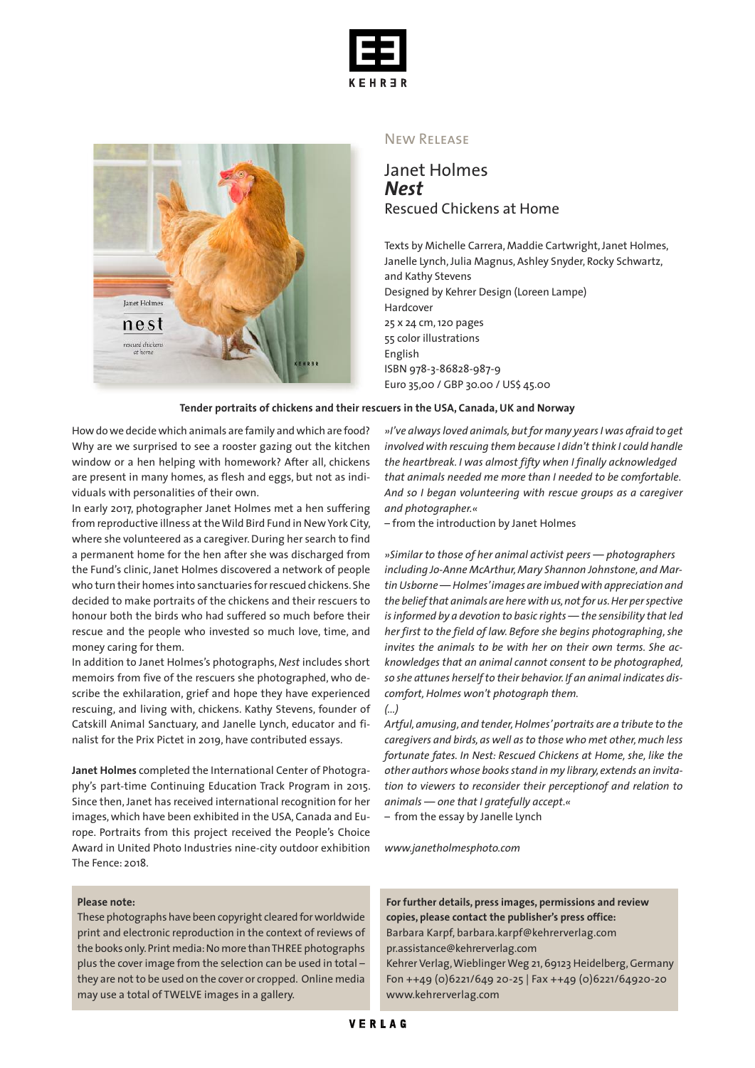



## New Release

Janet Holmes *Nest* Rescued Chickens at Home

Texts by Michelle Carrera, Maddie Cartwright, Janet Holmes, Janelle Lynch,Julia Magnus, Ashley Snyder, Rocky Schwartz, and Kathy Stevens Designed by Kehrer Design (Loreen Lampe) Hardcover 25 x 24 cm,120 pages 55 color illustrations English ISBN 978-3-86828-987-9 Euro 35,00 / GBP 30.00 / US\$ 45.00

### **Tender portraits of chickens and their rescuers in the USA, Canada,UK and Norway**

Howdowe decidewhich animals are family andwhich are food? Why are we surprised to see a rooster gazing out the kitchen window or a hen helping with homework? After all, chickens are present in many homes, as flesh and eggs, but not as individuals with personalities of their own.

In early 2017, photographer Janet Holmes met a hen suffering from reproductive illness at the Wild Bird Fund in New York City, where she volunteered as a caregiver.During her search to find a permanent home for the hen after she was discharged from the Fund's clinic, Janet Holmes discovered a network of people who turn their homes into sanctuaries forrescued chickens.She decided to make portraits of the chickens and their rescuers to honour both the birds who had suffered so much before their rescue and the people who invested so much love, time, and money caring for them.

In addition to Janet Holmes's photographs,*Nest* includes short memoirs from five of the rescuers she photographed, who describe the exhilaration, grief and hope they have experienced rescuing, and living with, chickens. Kathy Stevens, founder of Catskill Animal Sanctuary, and Janelle Lynch, educator and finalist for the Prix Pictet in 2019, have contributed essays.

**Janet Holmes** completed the International Center of Photography's part-time Continuing Education Track Program in 2015. Since then,Janet has received international recognition for her images,which have been exhibited in the USA, Canada and Europe. Portraits from this project received the People's Choice Award in United Photo Industries nine-city outdoor exhibition The Fence: 2018.

#### **Please note:**

These photographs have been copyright cleared forworldwide print and electronic reproduction in the context of reviews of the books only.Print media:No more thanTHREE photographs plus the cover image from the selection can be used in total – they are not to be used on the cover or cropped. Online media may use a total of TWELVE images in a gallery.

*»I've alwaysloved animals,but for many yearsI was afraid to get involved with rescuing them because I didn't think I could handle the heartbreak. I was almost fifty when I finally acknowledged that animals needed me more than I needed to be comfortable. And so I began volunteering with rescue groups as a caregiver and photographer.«*

*–* from the introduction by Janet Holmes

*»Similar to those of her animal activist peers — photographers including Jo-Anne McArthur,Mary Shannon Johnstone,and MartinUsborne—Holmes'images are imbued with appreciation and the beliefthat animals are herewith us,notfor us.Her perspective isinformed by a devotion to basic rights — the sensibility that led her first to the field of law. Before she begins photographing,she invites the animals to be with her on their own terms. She acknowledges that an animal cannot consent to be photographed, so she attunes herself to their behavior. If an animal indicates discomfort,Holmes won't photograph them. (...)*

*Artful,amusing,and tender,Holmes'portraits are a tribute to the caregivers and birds, as well as to those who met other,much less fortunate fates. In Nest: Rescued Chickens at Home, she, like the other authors whose booksstand in my library, extends an invitation to viewers to reconsider their perceptionof and relation to animals — one that I gratefully accept*.*«*

– from the essay by Janelle Lynch

*www.janetholmesphoto.com*

**For further details, press images, permissions and review copies, please contact the publisher's press office:** Barbara Karpf, barbara.karpf@kehrerverlag.com pr.assistance@kehrerverlag.com Kehrer Verlag,WieblingerWeg 21,69123 Heidelberg,Germany Fon ++49 (0)6221/649 20-25 | Fax ++49 (0)6221/64920-20 www.kehrerverlag.com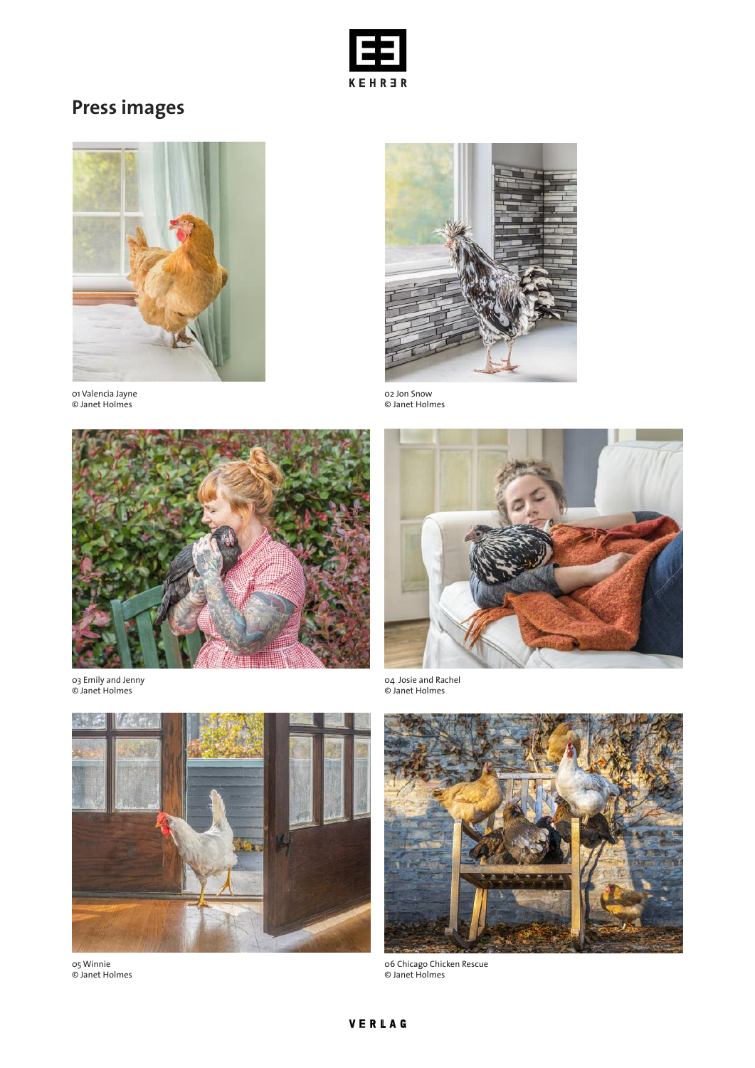

# **Press images**



01 Valencia Jayne © Janet Holmes



03 Emily and Jenny © Janet Holmes



05 Winnie © Janet Holmes



02 Jon Snow © Janet Holmes



04 Josie and Rachel © Janet Holmes



06 Chicago Chicken Rescue © Janet Holmes

# VERLAG